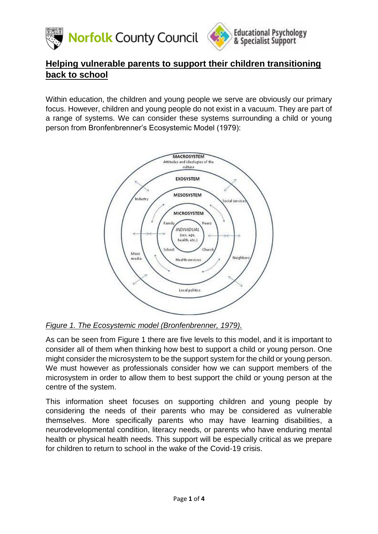



# **Helping vulnerable parents to support their children transitioning back to school**

Within education, the children and young people we serve are obviously our primary focus. However, children and young people do not exist in a vacuum. They are part of a range of systems. We can consider these systems surrounding a child or young person from Bronfenbrenner's Ecosystemic Model (1979):



# *Figure 1. The Ecosystemic model (Bronfenbrenner, 1979).*

As can be seen from Figure 1 there are five levels to this model, and it is important to consider all of them when thinking how best to support a child or young person. One might consider the microsystem to be the support system for the child or young person. We must however as professionals consider how we can support members of the microsystem in order to allow them to best support the child or young person at the centre of the system.

This information sheet focuses on supporting children and young people by considering the needs of their parents who may be considered as vulnerable themselves. More specifically parents who may have learning disabilities, a neurodevelopmental condition, literacy needs, or parents who have enduring mental health or physical health needs. This support will be especially critical as we prepare for children to return to school in the wake of the Covid-19 crisis.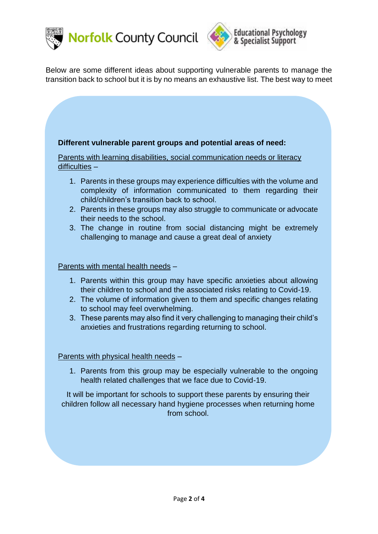



Below are some different ideas about supporting vulnerable parents to manage the transition back to school but it is by no means an exhaustive list. The best way to meet

## **Different vulnerable parent groups and potential areas of need:**

Parents with learning disabilities, social communication needs or literacy difficulties –

- 1. Parents in these groups may experience difficulties with the volume and complexity of information communicated to them regarding their child/children's transition back to school.
- 2. Parents in these groups may also struggle to communicate or advocate their needs to the school.
- 3. The change in routine from social distancing might be extremely challenging to manage and cause a great deal of anxiety

### Parents with mental health needs -

- 1. Parents within this group may have specific anxieties about allowing their children to school and the associated risks relating to Covid-19.
- 2. The volume of information given to them and specific changes relating to school may feel overwhelming.
- 3. These parents may also find it very challenging to managing their child's anxieties and frustrations regarding returning to school.

### Parents with physical health needs –

1. Parents from this group may be especially vulnerable to the ongoing health related challenges that we face due to Covid-19.

It will be important for schools to support these parents by ensuring their children follow all necessary hand hygiene processes when returning home from school.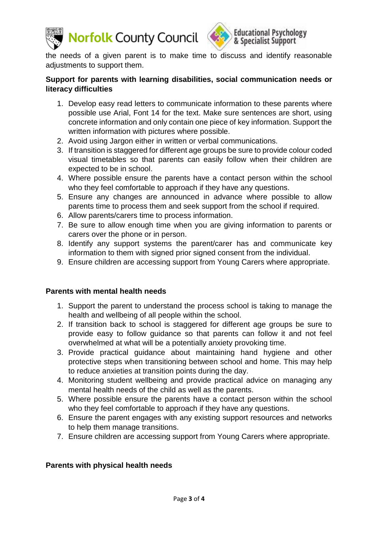



the needs of a given parent is to make time to discuss and identify reasonable adjustments to support them.

## **Support for parents with learning disabilities, social communication needs or literacy difficulties**

- 1. Develop easy read letters to communicate information to these parents where possible use Arial, Font 14 for the text. Make sure sentences are short, using concrete information and only contain one piece of key information. Support the written information with pictures where possible.
- 2. Avoid using Jargon either in written or verbal communications.
- 3. If transition is staggered for different age groups be sure to provide colour coded visual timetables so that parents can easily follow when their children are expected to be in school.
- 4. Where possible ensure the parents have a contact person within the school who they feel comfortable to approach if they have any questions.
- 5. Ensure any changes are announced in advance where possible to allow parents time to process them and seek support from the school if required.
- 6. Allow parents/carers time to process information.
- 7. Be sure to allow enough time when you are giving information to parents or carers over the phone or in person.
- 8. Identify any support systems the parent/carer has and communicate key information to them with signed prior signed consent from the individual.
- 9. Ensure children are accessing support from Young Carers where appropriate.

### **Parents with mental health needs**

- 1. Support the parent to understand the process school is taking to manage the health and wellbeing of all people within the school.
- 2. If transition back to school is staggered for different age groups be sure to provide easy to follow guidance so that parents can follow it and not feel overwhelmed at what will be a potentially anxiety provoking time.
- 3. Provide practical guidance about maintaining hand hygiene and other protective steps when transitioning between school and home. This may help to reduce anxieties at transition points during the day.
- 4. Monitoring student wellbeing and provide practical advice on managing any mental health needs of the child as well as the parents.
- 5. Where possible ensure the parents have a contact person within the school who they feel comfortable to approach if they have any questions.
- 6. Ensure the parent engages with any existing support resources and networks to help them manage transitions.
- 7. Ensure children are accessing support from Young Carers where appropriate.

### **Parents with physical health needs**